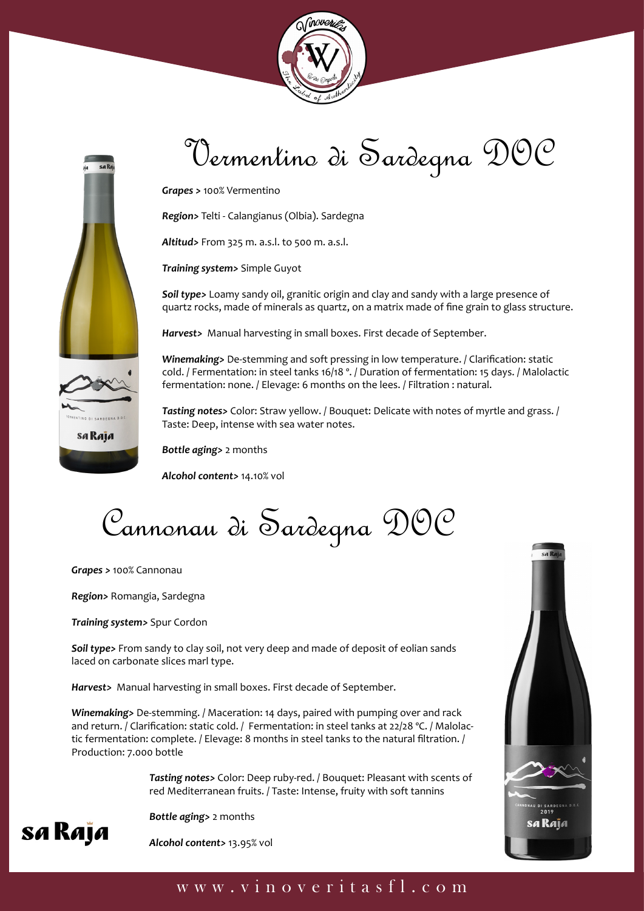



## Vermentino di Sardegna DOC

*Grapes >* 100% Vermentino

*Region>* Telti - Calangianus (Olbia). Sardegna

*Altitud>* From 325 m. a.s.l. to 500 m. a.s.l.

*Training system>* Simple Guyot

*Soil type>* Loamy sandy oil, granitic origin and clay and sandy with a large presence of quartz rocks, made of minerals as quartz, on a matrix made of fine grain to glass structure.

*Harvest>* Manual harvesting in small boxes. First decade of September.

*Winemaking>* De-stemming and soft pressing in low temperature. / Clarification: static cold. / Fermentation: in steel tanks 16/18 º. / Duration of fermentation: 15 days. / Malolactic fermentation: none. / Elevage: 6 months on the lees. / Filtration : natural.

*Tasting notes>* Color: Straw yellow. / Bouquet: Delicate with notes of myrtle and grass. / Taste: Deep, intense with sea water notes.

*Bottle aging>* 2 months

*Alcohol content>* 14.10% vol

Cannonau di Sardegna DOC

*Grapes >* 100% Cannonau

*Region>* Romangia, Sardegna

*Training system>* Spur Cordon

*Soil type>* From sandy to clay soil, not very deep and made of deposit of eolian sands laced on carbonate slices marl type.

*Harvest>* Manual harvesting in small boxes. First decade of September.

*Winemaking>* De-stemming. / Maceration: 14 days, paired with pumping over and rack and return. / Clarification: static cold. / Fermentation: in steel tanks at 22/28 °C. / Malolactic fermentation: complete. / Elevage: 8 months in steel tanks to the natural filtration. / Production: 7.000 bottle

> *Tasting notes>* Color: Deep ruby-red. / Bouquet: Pleasant with scents of red Mediterranean fruits. / Taste: Intense, fruity with soft tannins



 *Alcohol content>* 13.95% vol



#### www.vinoveritasfl.com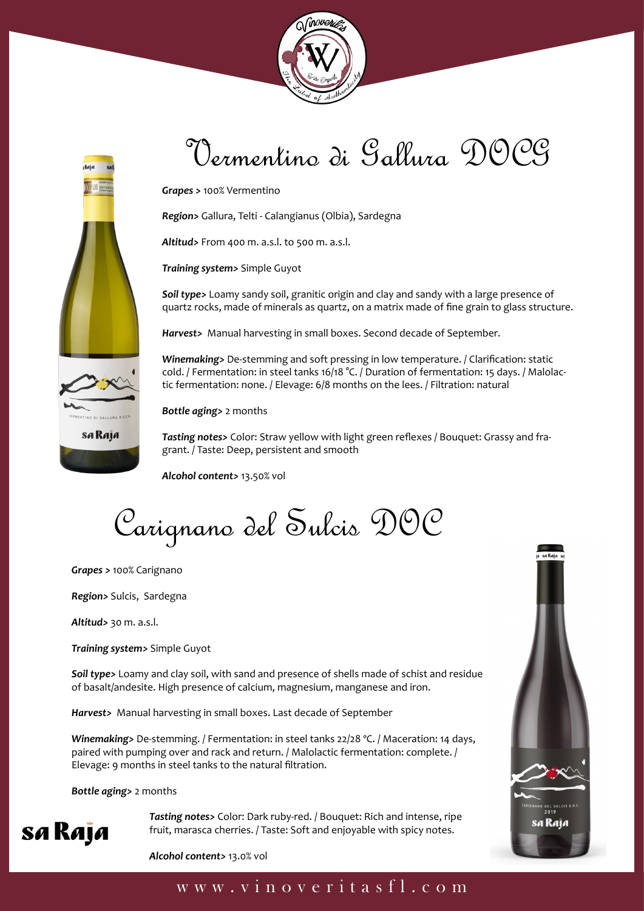



### Vermentino di Gallura DOCG

*Grapes >* 100% Vermentino

*Region>* Gallura, Telti - Calangianus (Olbia), Sardegna

*Altitud>* From 400 m. a.s.l. to 500 m. a.s.l.

*Training system>* Simple Guyot

*Soil type>* Loamy sandy soil, granitic origin and clay and sandy with a large presence of quartz rocks, made of minerals as quartz, on a matrix made of fine grain to glass structure.

*Harvest>* Manual harvesting in small boxes. Second decade of September.

*Winemaking>* De-stemming and soft pressing in low temperature. / Clarification: static cold. / Fermentation: in steel tanks 16/18 °C. / Duration of fermentation: 15 days. / Malolactic fermentation: none. / Elevage: 6/8 months on the lees. / Filtration: natural

*Bottle aging>* 2 months

*Tasting notes>* Color: Straw yellow with light green reflexes / Bouquet: Grassy and fragrant. / Taste: Deep, persistent and smooth

*Alcohol content>* 13.50% vol

Carignano del Sulcis DOC

*Grapes >* 100% Carignano

*Region>* Sulcis, Sardegna

*Altitud>* 30 m. a.s.l.

*Training system>* Simple Guyot

*Soil type>* Loamy and clay soil, with sand and presence of shells made of schist and residue of basalt/andesite. High presence of calcium, magnesium, manganese and iron.

*Harvest>* Manual harvesting in small boxes. Last decade of September

*Winemaking>* De-stemming. / Fermentation: in steel tanks 22/28 ºC. / Maceration: 14 days, paired with pumping over and rack and return. / Malolactic fermentation: complete. / Elevage: 9 months in steel tanks to the natural filtration.

*Bottle aging>* 2 months

**SA RAJA** Tasting notes> Color: Dark ruby-red. / Bouquet: Rich and intense, ripe<br>fruit, marasca cherries. / Taste: Soft and enjoyable with spicy notes. fruit, marasca cherries. / Taste: Soft and enjoyable with spicy notes.



 *Alcohol content>* 13.0% vol

#### www.vinoveritasfl.com